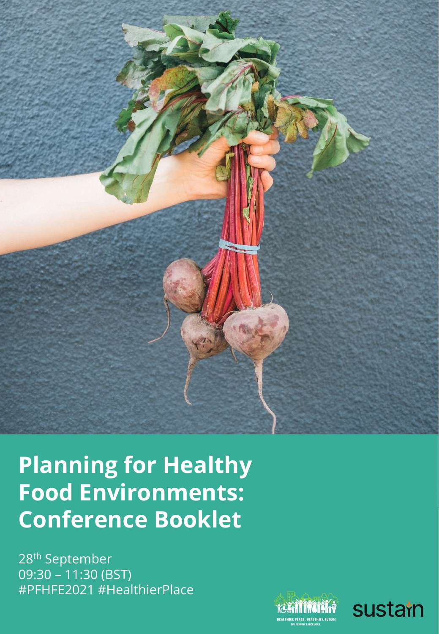

**Planning for Healthy Food Environments: Conference Booklet** 

28th September 09:30 – 11:30 (BST) #PFHFE2021 #HealthierPlace

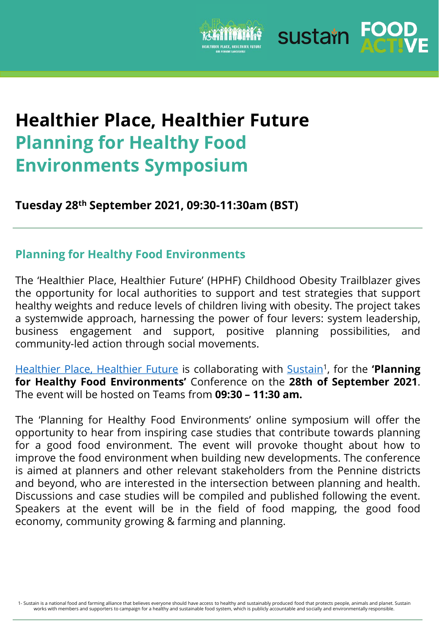

sustain For

# **Healthier Place, Healthier Future Planning for Healthy Food Environments Symposium**

**Tuesday 28th September 2021, 09:30-11:30am (BST)**

### **Planning for Healthy Food Environments**

The 'Healthier Place, Healthier Future' (HPHF) Childhood Obesity Trailblazer gives the opportunity for local authorities to support and test strategies that support healthy weights and reduce levels of children living with obesity. The project takes a systemwide approach, harnessing the power of four levers: system leadership, business engagement and support, positive planning possibilities, and community-led action through social movements.

[Healthier](https://foodactive.org.uk/what-we-do/campaigns-and-interventions/healthier-place-healthier-future/resources/) Place, Healthier Future is collaborating with [Sustain](https://www.sustainweb.org/about/)<sup>1</sup>, for the 'Planning **for Healthy Food Environments'** Conference on the **28th of September 2021**. The event will be hosted on Teams from **09:30 – 11:30 am.**

The 'Planning for Healthy Food Environments' online symposium will offer the opportunity to hear from inspiring case studies that contribute towards planning for a good food environment. The event will provoke thought about how to improve the food environment when building new developments. The conference is aimed at planners and other relevant stakeholders from the Pennine districts and beyond, who are interested in the intersection between planning and health. Discussions and case studies will be compiled and published following the event. Speakers at the event will be in the field of food mapping, the good food economy, community growing & farming and planning.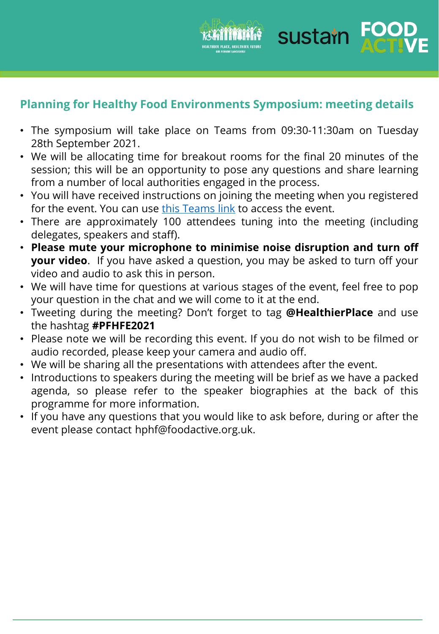

sustain For

**Planning for Healthy Food Environments Symposium: meeting details**

- The symposium will take place on Teams from 09:30-11:30am on Tuesday 28th September 2021.
- We will be allocating time for breakout rooms for the final 20 minutes of the session; this will be an opportunity to pose any questions and share learning from a number of local authorities engaged in the process.
- You will have received instructions on joining the meeting when you registered for the event. You can use this [Teams](https://teams.microsoft.com/l/meetup-join/19%3ameeting_MmJiYmVhM2ItZmQ0Ni00ZTk1LTk3NDMtMDY1MTAwMWZkYWFj%40thread.v2/0?context=%7b%22Tid%22%3a%228c782de9-eb66-4662-b46a-70822f896116%22%2c%22Oid%22%3a%2296a930a4-d9cd-4376-8aea-df7ff2eefccd%22%7d) link to access the event.
- There are approximately 100 attendees tuning into the meeting (including delegates, speakers and staff).
- **Please mute your microphone to minimise noise disruption and turn off your video**. If you have asked a question, you may be asked to turn off your video and audio to ask this in person.
- We will have time for questions at various stages of the event, feel free to pop your question in the chat and we will come to it at the end.
- Tweeting during the meeting? Don't forget to tag **@HealthierPlace** and use the hashtag **#PFHFE2021**
- Please note we will be recording this event. If you do not wish to be filmed or audio recorded, please keep your camera and audio off.
- We will be sharing all the presentations with attendees after the event.
- Introductions to speakers during the meeting will be brief as we have a packed agenda, so please refer to the speaker biographies at the back of this programme for more information.
- If you have any questions that you would like to ask before, during or after the event please contact hphf@foodactive.org.uk.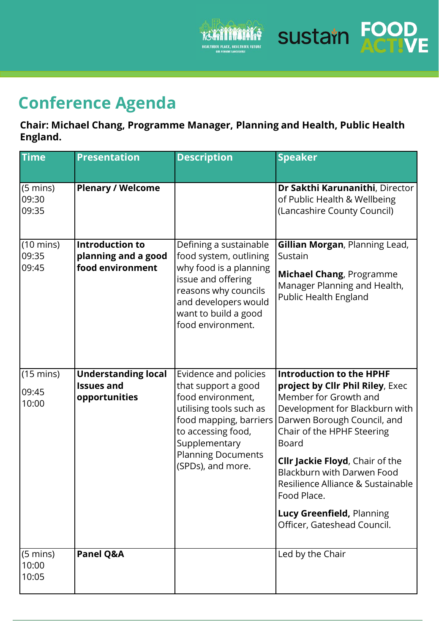

**Sustain FOOD** 

# **Conference Agenda**

**Chair: Michael Chang, Programme Manager, Planning and Health, Public Health England.**

| <b>Time</b>                           | <b>Presentation</b>                                               | <b>Description</b>                                                                                                                                                                                              | <b>Speaker</b>                                                                                                                                                                                                                                                                                                                                                                               |
|---------------------------------------|-------------------------------------------------------------------|-----------------------------------------------------------------------------------------------------------------------------------------------------------------------------------------------------------------|----------------------------------------------------------------------------------------------------------------------------------------------------------------------------------------------------------------------------------------------------------------------------------------------------------------------------------------------------------------------------------------------|
| $(5 \text{ mins})$<br>09:30<br>09:35  | <b>Plenary / Welcome</b>                                          |                                                                                                                                                                                                                 | Dr Sakthi Karunanithi, Director<br>of Public Health & Wellbeing<br>(Lancashire County Council)                                                                                                                                                                                                                                                                                               |
| $(10 \text{ mins})$<br>09:35<br>09:45 | <b>Introduction to</b><br>planning and a good<br>food environment | Defining a sustainable<br>food system, outlining<br>why food is a planning<br>issue and offering<br>reasons why councils<br>and developers would<br>want to build a good<br>food environment.                   | Gillian Morgan, Planning Lead,<br>Sustain<br>Michael Chang, Programme<br>Manager Planning and Health,<br>Public Health England                                                                                                                                                                                                                                                               |
| $(15 \text{ mins})$<br>09:45<br>10:00 | <b>Understanding local</b><br><b>Issues and</b><br>opportunities  | Evidence and policies<br>that support a good<br>food environment,<br>utilising tools such as<br>food mapping, barriers<br>to accessing food,<br>Supplementary<br><b>Planning Documents</b><br>(SPDs), and more. | <b>Introduction to the HPHF</b><br>project by Cllr Phil Riley, Exec<br>Member for Growth and<br>Development for Blackburn with<br>Darwen Borough Council, and<br>Chair of the HPHF Steering<br>Board<br><b>Cllr Jackie Floyd, Chair of the</b><br>Blackburn with Darwen Food<br>Resilience Alliance & Sustainable<br>Food Place.<br>Lucy Greenfield, Planning<br>Officer, Gateshead Council. |
| $(5 \text{ mins})$<br>10:00<br>10:05  | Panel Q&A                                                         |                                                                                                                                                                                                                 | Led by the Chair                                                                                                                                                                                                                                                                                                                                                                             |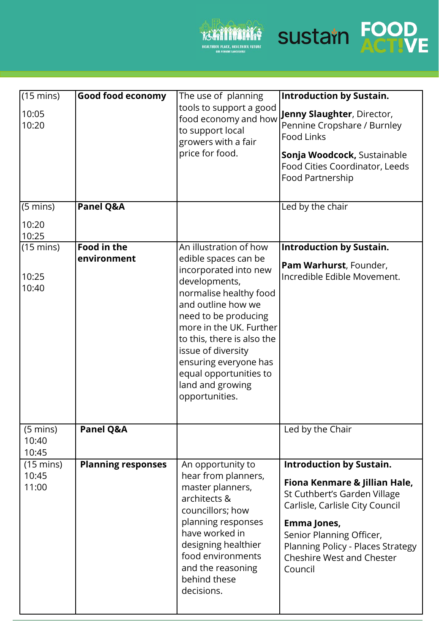



| $(15 \text{ mins})$<br>10:05<br>10:20 | <b>Good food economy</b>          | The use of planning<br>tools to support a good<br>food economy and how<br>to support local<br>growers with a fair<br>price for food.                                                                                                                                                                                                     | <b>Introduction by Sustain.</b><br>Jenny Slaughter, Director,<br>Pennine Cropshare / Burnley<br><b>Food Links</b><br>Sonja Woodcock, Sustainable<br>Food Cities Coordinator, Leeds<br>Food Partnership                                                             |
|---------------------------------------|-----------------------------------|------------------------------------------------------------------------------------------------------------------------------------------------------------------------------------------------------------------------------------------------------------------------------------------------------------------------------------------|--------------------------------------------------------------------------------------------------------------------------------------------------------------------------------------------------------------------------------------------------------------------|
| $(5 \text{ mins})$<br>10:20<br>10:25  | Panel Q&A                         |                                                                                                                                                                                                                                                                                                                                          | Led by the chair                                                                                                                                                                                                                                                   |
| $(15 \text{ mins})$<br>10:25<br>10:40 | <b>Food in the</b><br>environment | An illustration of how<br>edible spaces can be<br>incorporated into new<br>developments,<br>normalise healthy food<br>and outline how we<br>need to be producing<br>more in the UK. Further<br>to this, there is also the<br>issue of diversity<br>ensuring everyone has<br>equal opportunities to<br>land and growing<br>opportunities. | <b>Introduction by Sustain.</b><br>Pam Warhurst, Founder,<br>Incredible Edible Movement.                                                                                                                                                                           |
| $(5 \text{ mins})$<br>10:40<br>10:45  | Panel Q&A                         |                                                                                                                                                                                                                                                                                                                                          | Led by the Chair                                                                                                                                                                                                                                                   |
| $(15 \text{ mins})$<br>10:45<br>11:00 | <b>Planning responses</b>         | An opportunity to<br>hear from planners,<br>master planners,<br>architects &<br>councillors; how<br>planning responses<br>have worked in<br>designing healthier<br>food environments<br>and the reasoning<br>behind these<br>decisions.                                                                                                  | <b>Introduction by Sustain.</b><br>Fiona Kenmare & Jillian Hale,<br>St Cuthbert's Garden Village<br>Carlisle, Carlisle City Council<br>Emma Jones,<br>Senior Planning Officer,<br>Planning Policy - Places Strategy<br><b>Cheshire West and Chester</b><br>Council |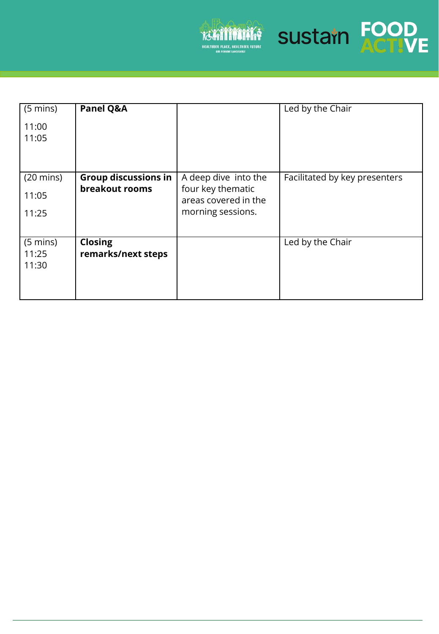



| $(5 \text{ mins})$  | Panel Q&A                   |                                           | Led by the Chair              |
|---------------------|-----------------------------|-------------------------------------------|-------------------------------|
| 11:00               |                             |                                           |                               |
| 11:05               |                             |                                           |                               |
|                     |                             |                                           |                               |
|                     |                             |                                           |                               |
| $(20 \text{ mins})$ | <b>Group discussions in</b> | A deep dive into the                      | Facilitated by key presenters |
| 11:05               | breakout rooms              | four key thematic<br>areas covered in the |                               |
| 11:25               |                             | morning sessions.                         |                               |
|                     |                             |                                           |                               |
|                     |                             |                                           |                               |
| $(5 \text{ mins})$  | <b>Closing</b>              |                                           | Led by the Chair              |
| 11:25               | remarks/next steps          |                                           |                               |
| 11:30               |                             |                                           |                               |
|                     |                             |                                           |                               |
|                     |                             |                                           |                               |
|                     |                             |                                           |                               |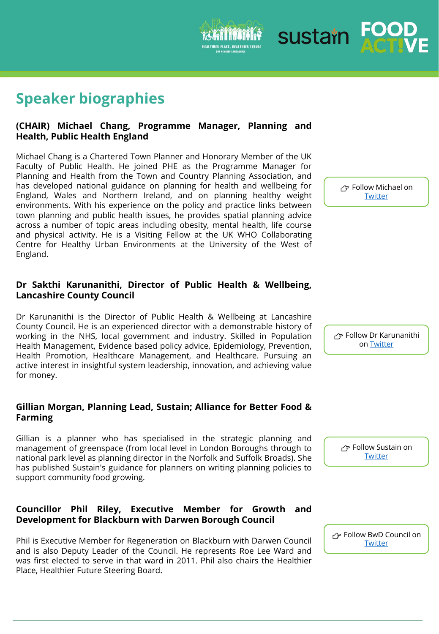## **Speaker biographies**

#### **(CHAIR) Michael Chang, Programme Manager, Planning and Health, Public Health England**

Michael Chang is a Chartered Town Planner and Honorary Member of the UK Faculty of Public Health. He joined PHE as the Programme Manager for Planning and Health from the Town and Country Planning Association, and has developed national guidance on planning for health and wellbeing for England, Wales and Northern Ireland, and on planning healthy weight environments. With his experience on the policy and practice links between town planning and public health issues, he provides spatial planning advice across a number of topic areas including obesity, mental health, life course and physical activity. He is a Visiting Fellow at the UK WHO Collaborating Centre for Healthy Urban Environments at the University of the West of England.

#### **Dr Sakthi Karunanithi, Director of Public Health & Wellbeing, Lancashire County Council**

Dr Karunanithi is the Director of Public Health & Wellbeing at Lancashire County Council. He is an experienced director with a demonstrable history of working in the NHS, local government and industry. Skilled in Population Health Management, Evidence based policy advice, Epidemiology, Prevention, Health Promotion, Healthcare Management, and Healthcare. Pursuing an active interest in insightful system leadership, innovation, and achieving value for money.

#### **Gillian Morgan, Planning Lead, Sustain; Alliance for Better Food & Farming**

Gillian is a planner who has specialised in the strategic planning and management of greenspace (from local level in London Boroughs through to national park level as planning director in the Norfolk and Suffolk Broads). She has published Sustain's guidance for planners on writing planning policies to support community food growing.

#### **Councillor Phil Riley, Executive Member for Growth and Development for Blackburn with Darwen Borough Council**

Phil is Executive Member for Regeneration on Blackburn with Darwen Council and is also Deputy Leader of the Council. He represents Roe Lee Ward and was first elected to serve in that ward in 2011. Phil also chairs the Healthier Place, Healthier Future Steering Board.

 Follow Michael on **[Twitter](https://twitter.com/HiPNetworkUK)** 

 Follow Dr Karunanithi on [Twitter](https://twitter.com/dr_sakthi)

r Follow Sustain on **[Twitter](https://twitter.com/UKSustain)** 

r Follow BwD Council on **[Twitter](https://twitter.com/blackburndarwen)** 

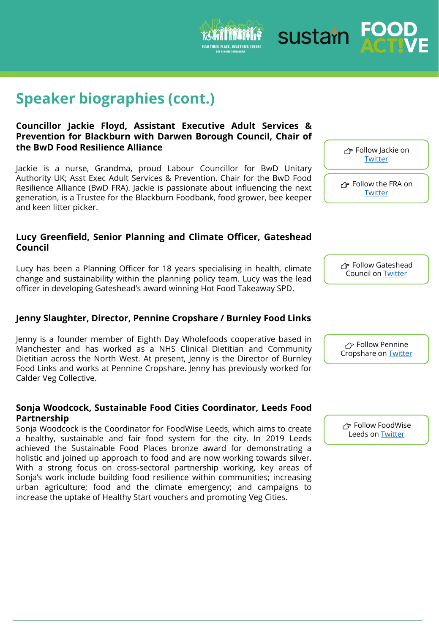## **Speaker biographies (cont.)**

#### **Councillor Jackie Floyd, Assistant Executive Adult Services & Prevention for Blackburn with Darwen Borough Council, Chair of the BwD Food Resilience Alliance**

Jackie is a nurse, Grandma, proud Labour Councillor for BwD Unitary Authority UK; Asst Exec Adult Services & Prevention. Chair for the BwD Food Resilience Alliance (BwD FRA). Jackie is passionate about influencing the next generation, is a Trustee for the Blackburn Foodbank, food grower, bee keeper and keen litter picker.

#### **Lucy Greenfield, Senior Planning and Climate Officer, Gateshead Council**

Lucy has been a Planning Officer for 18 years specialising in health, climate change and sustainability within the planning policy team. Lucy was the lead officer in developing Gateshead's award winning Hot Food Takeaway SPD.

#### **Jenny Slaughter, Director, Pennine Cropshare / Burnley Food Links**

Jenny is a founder member of Eighth Day Wholefoods cooperative based in Manchester and has worked as a NHS Clinical Dietitian and Community Dietitian across the North West. At present, Jenny is the Director of Burnley Food Links and works at Pennine Cropshare. Jenny has previously worked for Calder Veg Collective.

#### **Sonja Woodcock, Sustainable Food Cities Coordinator, Leeds Food Partnership**

Sonja Woodcock is the Coordinator for FoodWise Leeds, which aims to create a healthy, sustainable and fair food system for the city. In 2019 Leeds achieved the Sustainable Food Places bronze award for demonstrating a holistic and joined up approach to food and are now working towards silver. With a strong focus on cross-sectoral partnership working, key areas of Sonja's work include building food resilience within communities; increasing urban agriculture; food and the climate emergency; and campaigns to increase the uptake of Healthy Start vouchers and promoting Veg Cities.

 Follow Jackie on **[Twitter](https://twitter.com/jackiefloyd17)** 

r Follow the FRA on **[Twitter](https://twitter.com/jackiefloyd17)** 



**子 Follow Pennine** Cropshare on [Twitter](https://twitter.com/Cropshare)

 Follow FoodWise Leeds on **[Twitter](https://twitter.com/foodwiseleeds)**